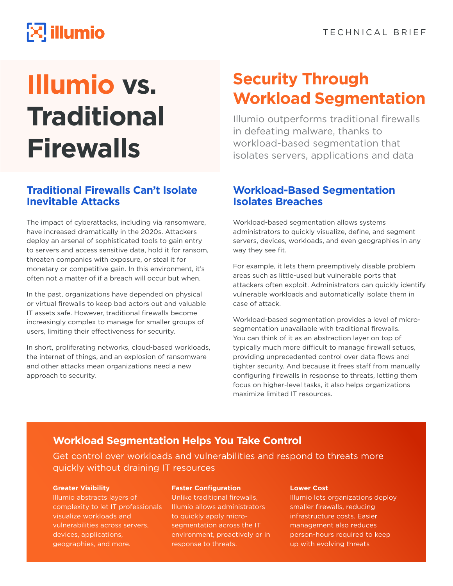# $\mathbb{R}$  illumio

# **Illumio vs. Traditional Firewalls**

## **Traditional Firewalls Can't Isolate Inevitable Attacks**

The impact of cyberattacks, including via ransomware, have increased dramatically in the 2020s. Attackers deploy an arsenal of sophisticated tools to gain entry to servers and access sensitive data, hold it for ransom, threaten companies with exposure, or steal it for monetary or competitive gain. In this environment, it's often not a matter of if a breach will occur but when.

In the past, organizations have depended on physical or virtual firewalls to keep bad actors out and valuable IT assets safe. However, traditional firewalls become increasingly complex to manage for smaller groups of users, limiting their effectiveness for security.

In short, proliferating networks, cloud-based workloads, the internet of things, and an explosion of ransomware and other attacks mean organizations need a new approach to security.

# **Security Through Workload Segmentation**

Illumio outperforms traditional firewalls in defeating malware, thanks to workload-based segmentation that isolates servers, applications and data

### **Workload-Based Segmentation Isolates Breaches**

Workload-based segmentation allows systems administrators to quickly visualize, define, and segment servers, devices, workloads, and even geographies in any way they see fit.

For example, it lets them preemptively disable problem areas such as little-used but vulnerable ports that attackers often exploit. Administrators can quickly identify vulnerable workloads and automatically isolate them in case of attack.

Workload-based segmentation provides a level of microsegmentation unavailable with traditional firewalls. You can think of it as an abstraction layer on top of typically much more difficult to manage firewall setups, providing unprecedented control over data flows and tighter security. And because it frees staff from manually configuring firewalls in response to threats, letting them focus on higher-level tasks, it also helps organizations maximize limited IT resources.

# **Workload Segmentation Helps You Take Control**

Get control over workloads and vulnerabilities and respond to threats more quickly without draining IT resources

#### **Greater Visibility**

Illumio abstracts layers of complexity to let IT professionals visualize workloads and vulnerabilities across servers, devices, applications, geographies, and more.

#### **Faster Configuration**

Unlike traditional firewalls, Illumio allows administrators to quickly apply microsegmentation across the IT environment, proactively or in response to threats.

#### **Lower Cost**

Illumio lets organizations deploy smaller firewalls, reducing infrastructure costs. Easier management also reduces person-hours required to keep up with evolving threats